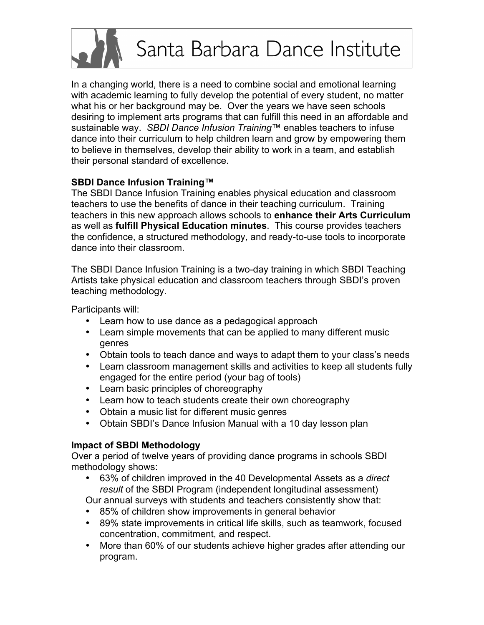# Santa Barbara Dance Institute

In a changing world, there is a need to combine social and emotional learning with academic learning to fully develop the potential of every student, no matter what his or her background may be. Over the years we have seen schools desiring to implement arts programs that can fulfill this need in an affordable and sustainable way. *SBDI Dance Infusion Training*™ enables teachers to infuse dance into their curriculum to help children learn and grow by empowering them to believe in themselves, develop their ability to work in a team, and establish their personal standard of excellence.

# **SBDI Dance Infusion Training™**

The SBDI Dance Infusion Training enables physical education and classroom teachers to use the benefits of dance in their teaching curriculum. Training teachers in this new approach allows schools to **enhance their Arts Curriculum** as well as **fulfill Physical Education minutes**. This course provides teachers the confidence, a structured methodology, and ready-to-use tools to incorporate dance into their classroom.

The SBDI Dance Infusion Training is a two-day training in which SBDI Teaching Artists take physical education and classroom teachers through SBDI's proven teaching methodology.

Participants will:

- Learn how to use dance as a pedagogical approach
- Learn simple movements that can be applied to many different music genres
- Obtain tools to teach dance and ways to adapt them to your class's needs
- Learn classroom management skills and activities to keep all students fully engaged for the entire period (your bag of tools)
- Learn basic principles of choreography
- Learn how to teach students create their own choreography
- Obtain a music list for different music genres
- Obtain SBDI's Dance Infusion Manual with a 10 day lesson plan

# **Impact of SBDI Methodology**

Over a period of twelve years of providing dance programs in schools SBDI methodology shows:

• 63% of children improved in the 40 Developmental Assets as a *direct result* of the SBDI Program (independent longitudinal assessment)

Our annual surveys with students and teachers consistently show that:

- 85% of children show improvements in general behavior
- 89% state improvements in critical life skills, such as teamwork, focused concentration, commitment, and respect.
- More than 60% of our students achieve higher grades after attending our program.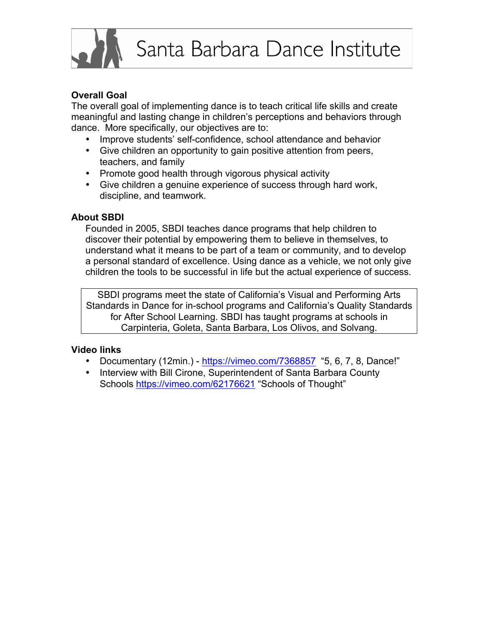## **Overall Goal**

The overall goal of implementing dance is to teach critical life skills and create meaningful and lasting change in children's perceptions and behaviors through dance. More specifically, our objectives are to:

- Improve students' self-confidence, school attendance and behavior
- Give children an opportunity to gain positive attention from peers, teachers, and family
- Promote good health through vigorous physical activity
- Give children a genuine experience of success through hard work, discipline, and teamwork.

#### **About SBDI**

Founded in 2005, SBDI teaches dance programs that help children to discover their potential by empowering them to believe in themselves, to understand what it means to be part of a team or community, and to develop a personal standard of excellence. Using dance as a vehicle, we not only give children the tools to be successful in life but the actual experience of success.

SBDI programs meet the state of California's Visual and Performing Arts Standards in Dance for in-school programs and California's Quality Standards for After School Learning. SBDI has taught programs at schools in Carpinteria, Goleta, Santa Barbara, Los Olivos, and Solvang.

#### **Video links**

- Documentary (12min.) https://vimeo.com/7368857 "5, 6, 7, 8, Dance!"
- Interview with Bill Cirone, Superintendent of Santa Barbara County Schools https://vimeo.com/62176621 "Schools of Thought"